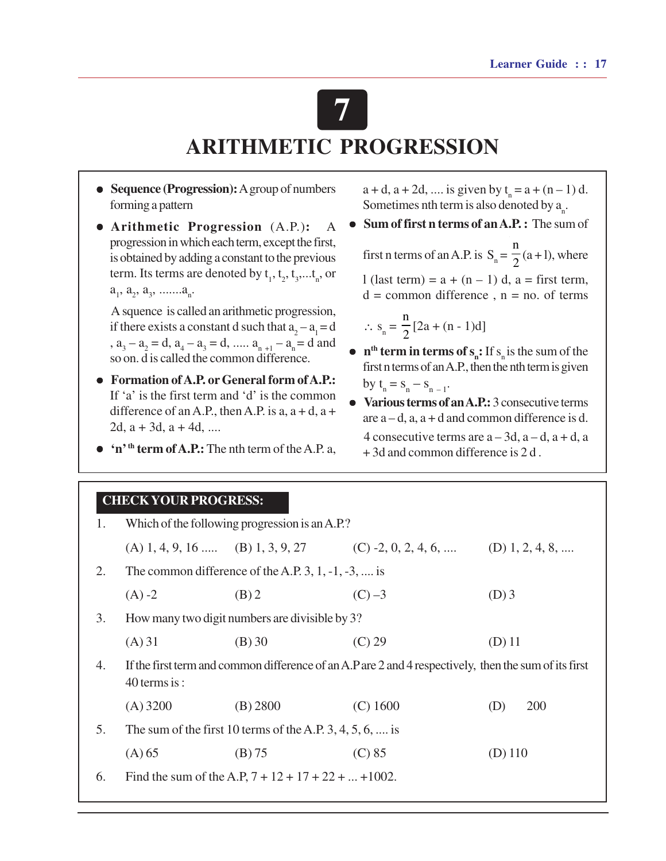# **7 ARITHMETIC PROGRESSION**

- **Sequence (Progression):** A group of numbers forming a pattern
- l **Arithmetic Progression** (A.P.)**:** A progression in which each term, except the first, is obtained by adding a constant to the previous term. Its terms are denoted by  $t_1, t_2, t_3, \ldots t_n$ , or  $a_1, a_2, a_3, \ldots a_n.$

A squence is called an arithmetic progression, if there exists a constant d such that  $a_2 - a_1 = d$ ,  $a_3 - a_2 = d$ ,  $a_4 - a_3 = d$ , .....  $a_{n+1} - a_n = d$  and so on. d is called the common difference.

- **Formation of A.P. or General form of A.P.:** If 'a' is the first term and 'd' is the common difference of an A.P., then A.P. is  $a$ ,  $a + d$ ,  $a + d$ 2d,  $a + 3d$ ,  $a + 4d$ , ....
- l **'n' th term of A.P.:** The nth term of the A.P. a,

 $a + d$ ,  $a + 2d$ , .... is given by  $t_n = a + (n - 1) d$ . Sometimes nth term is also denoted by  $a_n$ .

- $\bullet$  Sum of first n terms of an A.P. : The sum of first n terms of an A.P. is  $S_n =$ n  $\frac{1}{2}$  (a + 1), where l (last term) =  $a + (n - 1)$  d,  $a =$  first term,  $d =$  common difference,  $n =$  no. of terms  $\therefore$  s<sub>n</sub> = n  $\frac{1}{2}[2a + (n-1)d]$
- $n<sup>th</sup>$  term in terms of  $s_n$ : If  $s_n$  is the sum of the first n terms of an A.P., then the nth term is given by  $t_n = s_n - s_{n-1}$ .
- **Various terms of an A.P.:** 3 consecutive terms are  $a-d$ ,  $a$ ,  $a+d$  and common difference is d. 4 consecutive terms are  $a - 3d$ ,  $a - d$ ,  $a + d$ , a + 3d and common difference is 2 d .

| <b>CHECK YOUR PROGRESS:</b> |  |
|-----------------------------|--|
|-----------------------------|--|

| 1. | Which of the following progression is an A.P.?                                                                           |                                                         |                                                                       |                   |  |
|----|--------------------------------------------------------------------------------------------------------------------------|---------------------------------------------------------|-----------------------------------------------------------------------|-------------------|--|
|    |                                                                                                                          |                                                         | (A) 1, 4, 9, 16  (B) 1, 3, 9, 27 (C) -2, 0, 2, 4, 6,  (D) 1, 2, 4, 8, |                   |  |
| 2. | The common difference of the A.P. 3, 1, $-1$ , $-3$ , , is                                                               |                                                         |                                                                       |                   |  |
|    | $(A) -2$                                                                                                                 | $(B)$ 2                                                 | $(C) -3$                                                              | $(D)$ 3           |  |
| 3. | How many two digit numbers are divisible by 3?                                                                           |                                                         |                                                                       |                   |  |
|    | (A) 31                                                                                                                   | (B) 30                                                  | (C) 29                                                                | $(D)$ 11          |  |
| 4. | If the first term and common difference of an A.P are 2 and 4 respectively, then the sum of its first<br>$40$ terms is : |                                                         |                                                                       |                   |  |
|    | $(A)$ 3200                                                                                                               | (B) 2800                                                | $(C)$ 1600                                                            | <b>200</b><br>(D) |  |
| 5. | The sum of the first 10 terms of the A.P. 3, 4, 5, 6,  is                                                                |                                                         |                                                                       |                   |  |
|    | (A) 65                                                                                                                   | (B) 75                                                  | (C) 85                                                                | $(D)$ 110         |  |
| 6. |                                                                                                                          | Find the sum of the A.P, $7 + 12 + 17 + 22 +  + 1002$ . |                                                                       |                   |  |